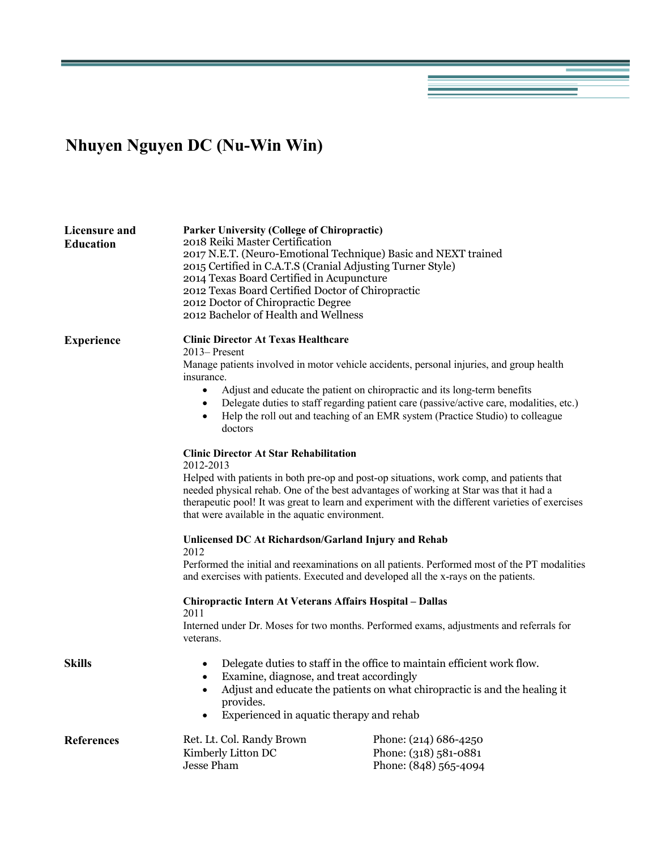## **Nhuyen Nguyen DC (Nu-Win Win)**

| Licensure and<br><b>Education</b> | <b>Parker University (College of Chiropractic)</b><br>2018 Reiki Master Certification<br>2017 N.E.T. (Neuro-Emotional Technique) Basic and NEXT trained<br>2015 Certified in C.A.T.S (Cranial Adjusting Turner Style)<br>2014 Texas Board Certified in Acupuncture<br>2012 Texas Board Certified Doctor of Chiropractic<br>2012 Doctor of Chiropractic Degree<br>2012 Bachelor of Health and Wellness                                                                                |                                                                         |
|-----------------------------------|--------------------------------------------------------------------------------------------------------------------------------------------------------------------------------------------------------------------------------------------------------------------------------------------------------------------------------------------------------------------------------------------------------------------------------------------------------------------------------------|-------------------------------------------------------------------------|
| <b>Experience</b>                 | <b>Clinic Director At Texas Healthcare</b><br>$2013$ – Present<br>Manage patients involved in motor vehicle accidents, personal injuries, and group health<br>insurance.<br>Adjust and educate the patient on chiropractic and its long-term benefits<br>$\bullet$<br>Delegate duties to staff regarding patient care (passive/active care, modalities, etc.)<br>$\bullet$<br>Help the roll out and teaching of an EMR system (Practice Studio) to colleague<br>$\bullet$<br>doctors |                                                                         |
|                                   | <b>Clinic Director At Star Rehabilitation</b><br>2012-2013<br>Helped with patients in both pre-op and post-op situations, work comp, and patients that<br>needed physical rehab. One of the best advantages of working at Star was that it had a<br>therapeutic pool! It was great to learn and experiment with the different varieties of exercises<br>that were available in the aquatic environment.                                                                              |                                                                         |
|                                   | Unlicensed DC At Richardson/Garland Injury and Rehab<br>2012<br>Performed the initial and reexaminations on all patients. Performed most of the PT modalities<br>and exercises with patients. Executed and developed all the x-rays on the patients.<br>Chiropractic Intern At Veterans Affairs Hospital - Dallas<br>2011                                                                                                                                                            |                                                                         |
|                                   | Interned under Dr. Moses for two months. Performed exams, adjustments and referrals for<br>veterans.                                                                                                                                                                                                                                                                                                                                                                                 |                                                                         |
| <b>Skills</b>                     | Delegate duties to staff in the office to maintain efficient work flow.<br>$\bullet$<br>Examine, diagnose, and treat accordingly<br>$\bullet$<br>Adjust and educate the patients on what chiropractic is and the healing it<br>$\bullet$<br>provides.<br>Experienced in aquatic therapy and rehab<br>$\bullet$                                                                                                                                                                       |                                                                         |
| <b>References</b>                 | Ret. Lt. Col. Randy Brown<br>Kimberly Litton DC<br><b>Jesse Pham</b>                                                                                                                                                                                                                                                                                                                                                                                                                 | Phone: (214) 686-4250<br>Phone: (318) 581-0881<br>Phone: (848) 565-4094 |